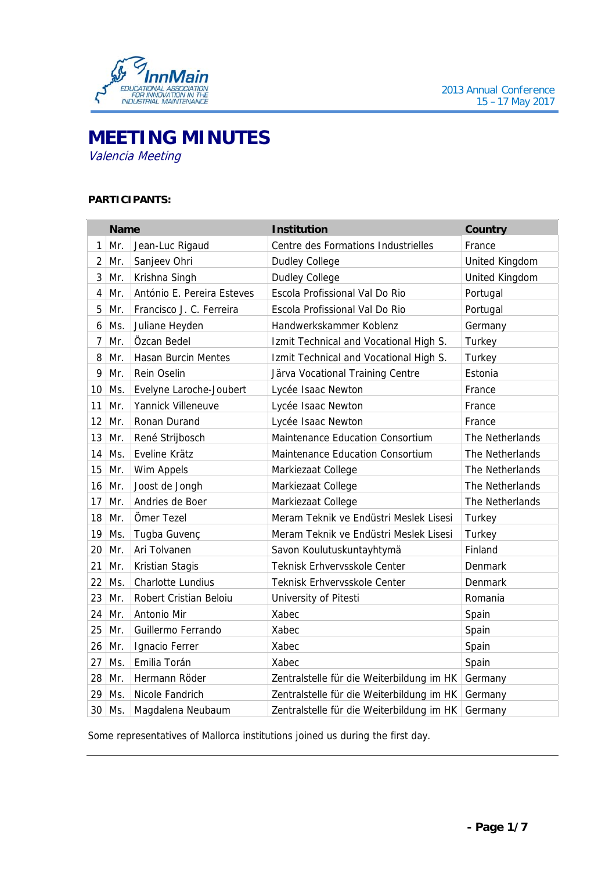

# **MEETING MINUTES**  Valencia Meeting

# **PARTICIPANTS:**

| <b>Name</b>     |          |                            | <b>Institution</b>                        | Country         |
|-----------------|----------|----------------------------|-------------------------------------------|-----------------|
| $\mathbf{1}$    | Mr.      | Jean-Luc Rigaud            | Centre des Formations Industrielles       | France          |
| $\overline{2}$  | Mr.      | Sanjeev Ohri               | <b>Dudley College</b>                     | United Kingdom  |
| $\sqrt{3}$      | Mr.      | Krishna Singh              | <b>Dudley College</b>                     | United Kingdom  |
| $\overline{4}$  | Mr.      | António E. Pereira Esteves | Escola Profissional Val Do Rio            | Portugal        |
| 5               | Mr.      | Francisco J. C. Ferreira   | Escola Profissional Val Do Rio            | Portugal        |
| 6               | Ms.      | Juliane Heyden             | Handwerkskammer Koblenz                   | Germany         |
| 7               | Mr.      | Özcan Bedel                | Izmit Technical and Vocational High S.    | Turkey          |
| 8               | Mr.      | <b>Hasan Burcin Mentes</b> | Izmit Technical and Vocational High S.    | Turkey          |
| 9               | Mr.      | Rein Oselin                | Järva Vocational Training Centre          | Estonia         |
| 10 <sup>°</sup> | Ms.      | Evelyne Laroche-Joubert    | Lycée Isaac Newton                        | France          |
| 11              | Mr.      | Yannick Villeneuve         | Lycée Isaac Newton                        | France          |
| 12              | Mr.      | Ronan Durand               | Lycée Isaac Newton                        | France          |
| 13              | Mr.      | René Strijbosch            | Maintenance Education Consortium          | The Netherlands |
|                 | $14$ Ms. | Eveline Krätz              | Maintenance Education Consortium          | The Netherlands |
| 15              | Mr.      | Wim Appels                 | Markiezaat College                        | The Netherlands |
| 16              | Mr.      | Joost de Jongh             | Markiezaat College                        | The Netherlands |
| 17              | Mr.      | Andries de Boer            | Markiezaat College                        | The Netherlands |
| 18              | Mr.      | Ömer Tezel                 | Meram Teknik ve Endüstri Meslek Lisesi    | Turkey          |
| 19              | Ms.      | Tugba Guvenç               | Meram Teknik ve Endüstri Meslek Lisesi    | Turkey          |
| 20              | Mr.      | Ari Tolvanen               | Savon Koulutuskuntayhtymä                 | Finland         |
| 21              | Mr.      | Kristian Stagis            | Teknisk Erhvervsskole Center              | Denmark         |
| 22              | Ms.      | <b>Charlotte Lundius</b>   | Teknisk Erhvervsskole Center              | Denmark         |
|                 | 23 Mr.   | Robert Cristian Beloiu     | University of Pitesti                     | Romania         |
|                 | 24 Mr.   | Antonio Mir                | Xabec                                     | Spain           |
| 25              | Mr.      | Guillermo Ferrando         | Xabec                                     | Spain           |
| 26              | Mr.      | Ignacio Ferrer             | Xabec                                     | Spain           |
| 27              | Ms.      | Emilia Torán               | Xabec                                     | Spain           |
|                 | 28 Mr.   | Hermann Röder              | Zentralstelle für die Weiterbildung im HK | Germany         |
| 29              | Ms.      | Nicole Fandrich            | Zentralstelle für die Weiterbildung im HK | Germany         |
| 30              | Ms.      | Magdalena Neubaum          | Zentralstelle für die Weiterbildung im HK | Germany         |

Some representatives of Mallorca institutions joined us during the first day.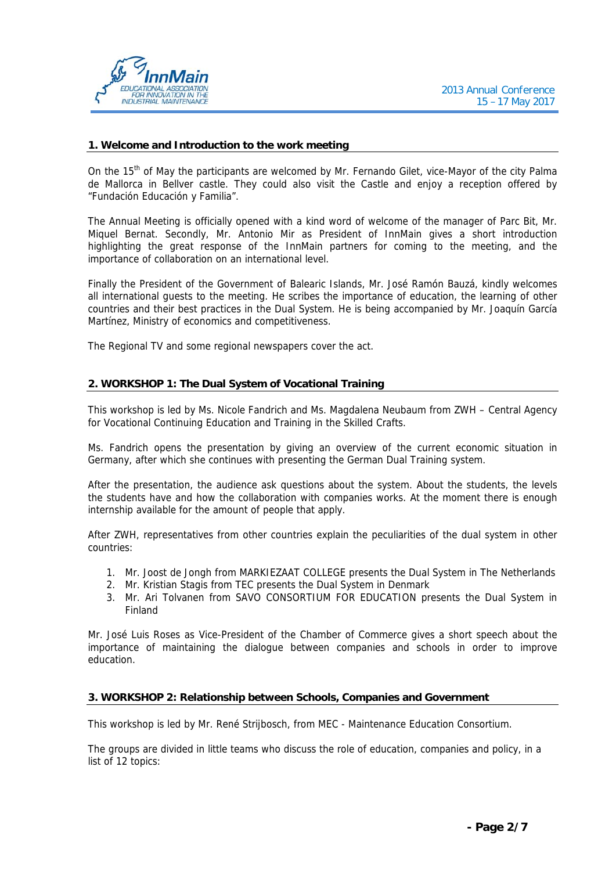

#### **1. Welcome and Introduction to the work meeting**

On the 15<sup>th</sup> of May the participants are welcomed by Mr. Fernando Gilet, vice-Mayor of the city Palma de Mallorca in Bellver castle. They could also visit the Castle and enjoy a reception offered by "Fundación Educación y Familia".

The Annual Meeting is officially opened with a kind word of welcome of the manager of Parc Bit, Mr. Miquel Bernat. Secondly, Mr. Antonio Mir as President of InnMain gives a short introduction highlighting the great response of the InnMain partners for coming to the meeting, and the importance of collaboration on an international level.

Finally the President of the Government of Balearic Islands, Mr. José Ramón Bauzá, kindly welcomes all international guests to the meeting. He scribes the importance of education, the learning of other countries and their best practices in the Dual System. He is being accompanied by Mr. Joaquín García Martínez, Ministry of economics and competitiveness.

The Regional TV and some regional newspapers cover the act.

## **2. WORKSHOP 1: The Dual System of Vocational Training**

This workshop is led by Ms. Nicole Fandrich and Ms. Magdalena Neubaum from ZWH – Central Agency for Vocational Continuing Education and Training in the Skilled Crafts.

Ms. Fandrich opens the presentation by giving an overview of the current economic situation in Germany, after which she continues with presenting the German Dual Training system.

After the presentation, the audience ask questions about the system. About the students, the levels the students have and how the collaboration with companies works. At the moment there is enough internship available for the amount of people that apply.

After ZWH, representatives from other countries explain the peculiarities of the dual system in other countries:

- 1. Mr. Joost de Jongh from MARKIEZAAT COLLEGE presents the Dual System in The Netherlands
- 2. Mr. Kristian Stagis from TEC presents the Dual System in Denmark
- 3. Mr. Ari Tolvanen from SAVO CONSORTIUM FOR EDUCATION presents the Dual System in Finland

Mr. José Luis Roses as Vice-President of the Chamber of Commerce gives a short speech about the importance of maintaining the dialogue between companies and schools in order to improve education.

#### **3. WORKSHOP 2: Relationship between Schools, Companies and Government**

This workshop is led by Mr. René Strijbosch, from MEC - Maintenance Education Consortium.

The groups are divided in little teams who discuss the role of education, companies and policy, in a list of 12 topics: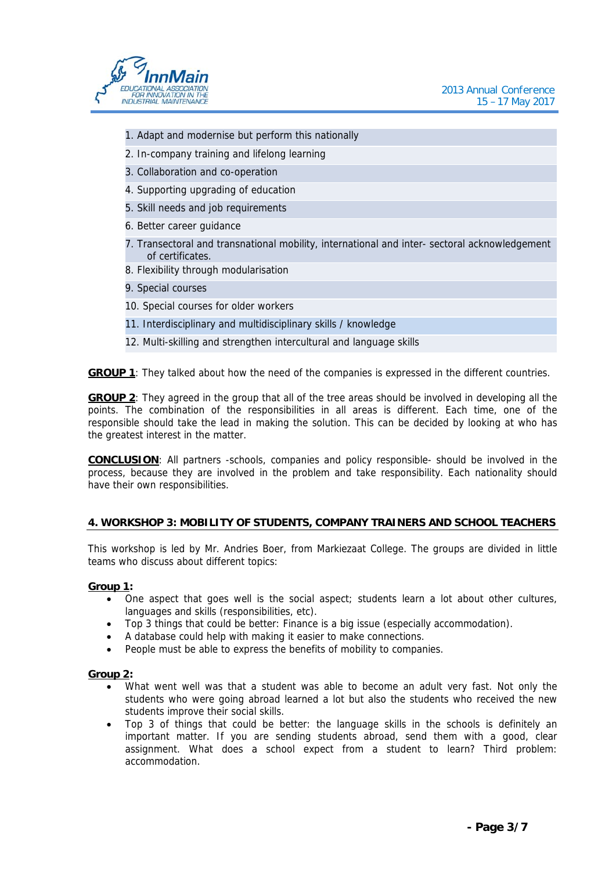

- 1. Adapt and modernise but perform this nationally
- 2. In-company training and lifelong learning
- 3. Collaboration and co-operation
- 4. Supporting upgrading of education
- 5. Skill needs and job requirements
- 6. Better career guidance
- 7. Transectoral and transnational mobility, international and inter- sectoral acknowledgement of certificates.
- 8. Flexibility through modularisation
- 9. Special courses
- 10. Special courses for older workers
- 11. Interdisciplinary and multidisciplinary skills / knowledge
- 12. Multi-skilling and strengthen intercultural and language skills

**GROUP 1**: They talked about how the need of the companies is expressed in the different countries.

**GROUP 2**: They agreed in the group that all of the tree areas should be involved in developing all the points. The combination of the responsibilities in all areas is different. Each time, one of the responsible should take the lead in making the solution. This can be decided by looking at who has the greatest interest in the matter.

**CONCLUSION**: All partners -schools, companies and policy responsible- should be involved in the process, because they are involved in the problem and take responsibility. Each nationality should have their own responsibilities.

### **4. WORKSHOP 3: MOBILITY OF STUDENTS, COMPANY TRAINERS AND SCHOOL TEACHERS**

This workshop is led by Mr. Andries Boer, from Markiezaat College. The groups are divided in little teams who discuss about different topics:

#### **Group 1:**

- One aspect that goes well is the social aspect; students learn a lot about other cultures, languages and skills (responsibilities, etc).
- Top 3 things that could be better: Finance is a big issue (especially accommodation).
- A database could help with making it easier to make connections.
- People must be able to express the benefits of mobility to companies.

#### **Group 2:**

- What went well was that a student was able to become an adult very fast. Not only the students who were going abroad learned a lot but also the students who received the new students improve their social skills.
- Top 3 of things that could be better: the language skills in the schools is definitely an important matter. If you are sending students abroad, send them with a good, clear assignment. What does a school expect from a student to learn? Third problem: accommodation.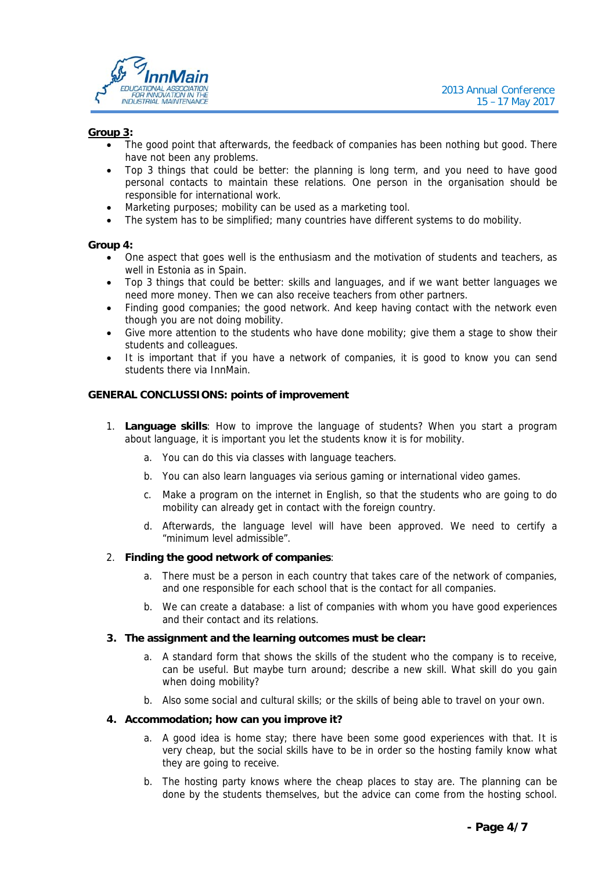

#### **Group 3:**

- The good point that afterwards, the feedback of companies has been nothing but good. There have not been any problems.
- Top 3 things that could be better: the planning is long term, and you need to have good personal contacts to maintain these relations. One person in the organisation should be responsible for international work.
- Marketing purposes; mobility can be used as a marketing tool.
- The system has to be simplified; many countries have different systems to do mobility.

#### **Group 4:**

- One aspect that goes well is the enthusiasm and the motivation of students and teachers, as well in Estonia as in Spain.
- Top 3 things that could be better: skills and languages, and if we want better languages we need more money. Then we can also receive teachers from other partners.
- Finding good companies; the good network. And keep having contact with the network even though you are not doing mobility.
- Give more attention to the students who have done mobility; give them a stage to show their students and colleagues.
- It is important that if you have a network of companies, it is good to know you can send students there via InnMain.

#### **GENERAL CONCLUSSIONS: points of improvement**

- 1. **Language skills**: How to improve the language of students? When you start a program about language, it is important you let the students know it is for mobility.
	- a. You can do this via classes with language teachers.
	- b. You can also learn languages via serious gaming or international video games.
	- c. Make a program on the internet in English, so that the students who are going to do mobility can already get in contact with the foreign country.
	- d. Afterwards, the language level will have been approved. We need to certify a "minimum level admissible".

#### 2. **Finding the good network of companies**:

- a. There must be a person in each country that takes care of the network of companies, and one responsible for each school that is the contact for all companies.
- b. We can create a database: a list of companies with whom you have good experiences and their contact and its relations.

#### **3. The assignment and the learning outcomes must be clear:**

- a. A standard form that shows the skills of the student who the company is to receive, can be useful. But maybe turn around; describe a new skill. What skill do you gain when doing mobility?
- b. Also some social and cultural skills; or the skills of being able to travel on your own.

#### **4. Accommodation; how can you improve it?**

- a. A good idea is home stay; there have been some good experiences with that. It is very cheap, but the social skills have to be in order so the hosting family know what they are going to receive.
- b. The hosting party knows where the cheap places to stay are. The planning can be done by the students themselves, but the advice can come from the hosting school.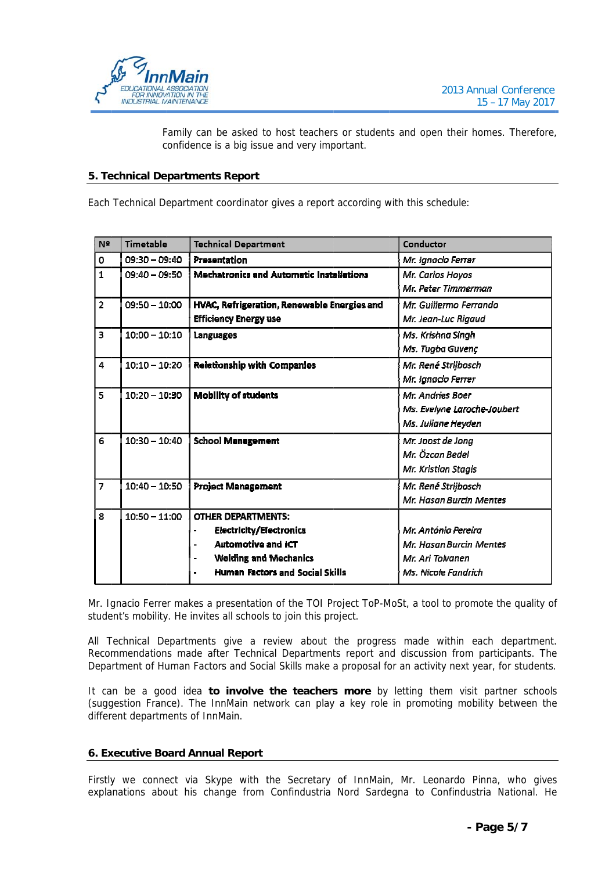

Family can be asked to host teachers or students and open their homes. Therefore, confidence is a big issue and very important.

#### **5. Te echnical De partments Report**

| N <sup>2</sup>          | <b>Timetable</b> | <b>Technical Department</b>                                                                                                                                                              | <b>Conductor</b>                                                                          |
|-------------------------|------------------|------------------------------------------------------------------------------------------------------------------------------------------------------------------------------------------|-------------------------------------------------------------------------------------------|
| 0                       | $09:30 - 09:40$  | Presentation                                                                                                                                                                             | Mr. Ignacio Ferrer                                                                        |
| $\mathbf{1}$            | $09:40 - 09:50$  | <b>Mechatronics and Automatic Installations</b>                                                                                                                                          | Mr. Carlos Hoyos<br>Mr. Peter Timmerman                                                   |
| $\overline{\mathbf{2}}$ | $09:50 - 10:00$  | HVAC, Refrigeration, Renewable Energies and<br><b>Efficiency Energy use</b>                                                                                                              | Mr. Guillermo Ferrando<br>Mr. Jean-Luc Rigaud                                             |
| 3                       | $10:00 - 10:10$  | Languages                                                                                                                                                                                | Ms. Krishna Singh<br>Ms. Tugba Guvenç                                                     |
| $\overline{4}$          | $10:10 - 10:20$  | <b>Relationship with Companies</b>                                                                                                                                                       | Mr. René Strijbosch<br>Mr. Ignacio Ferrer                                                 |
| 5                       | $10:20 - 10:30$  | <b>Mobility of students</b>                                                                                                                                                              | Mr. Andries Boer<br>Ms. Evelyne Laroche-Joubert<br>Ms. Juliane Heyden                     |
|                         | $10:30 - 10:40$  | <b>School Management</b>                                                                                                                                                                 | Mr. Joost de Jong<br>Mr. Özcan Bedel<br>Mr. Kristian Stagis                               |
| $\overline{7}$          | $10:40 - 10:50$  | <b>Project Management</b>                                                                                                                                                                | Mr. René Strijbosch<br>Mr. Hasan Burcin Mentes                                            |
| 8                       | $10:50 - 11:00$  | <b>OTHER DEPARTMENTS:</b><br><b>Electricity/Electronics</b><br><b>Automotive and ICT</b><br><b>Welding and Mechanics</b><br><b>Human Factors and Social Skills</b>                       | Mr. António Pereira<br>Mr. Hasan Burcin Mentes<br>Mr. Ari Tolvanen<br>Ms. Nicole Fandrich |
|                         |                  | Ir. Ignacio Ferrer makes a presentation of the TOI Project ToP-MoSt, a tool to promote the quality of<br>tudent's mobility. He invites all schools to join this project.                 |                                                                                           |
|                         |                  | Ill Technical Departments give a review about the progress made within each department.<br>Recommendations made after Technical Departments report and discussion from participants. The |                                                                                           |

#### **6. Ex xecutive Bo oard Annual l Report**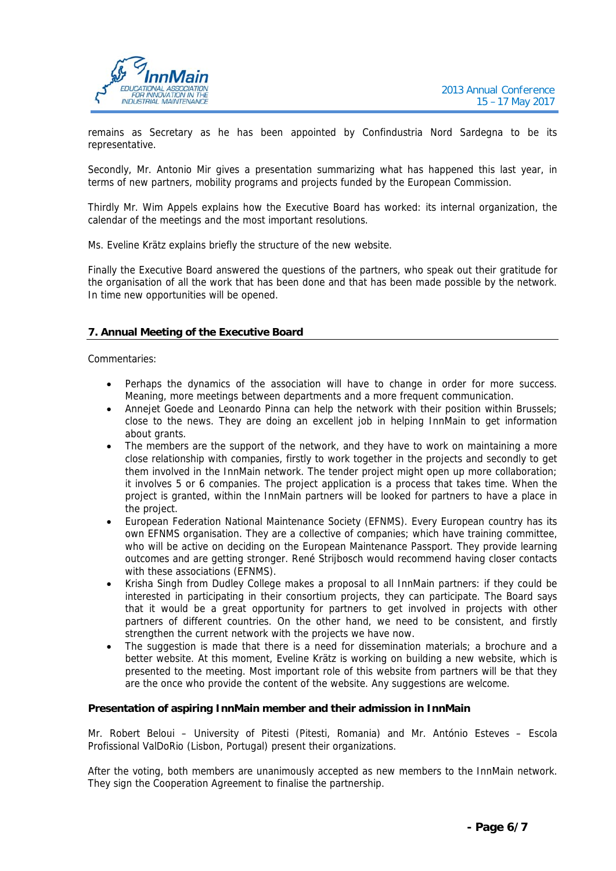

remains as Secretary as he has been appointed by Confindustria Nord Sardegna to be its representative.

Secondly, Mr. Antonio Mir gives a presentation summarizing what has happened this last year, in terms of new partners, mobility programs and projects funded by the European Commission.

Thirdly Mr. Wim Appels explains how the Executive Board has worked: its internal organization, the calendar of the meetings and the most important resolutions.

Ms. Eveline Krätz explains briefly the structure of the new website.

Finally the Executive Board answered the questions of the partners, who speak out their gratitude for the organisation of all the work that has been done and that has been made possible by the network. In time new opportunities will be opened.

#### **7. Annual Meeting of the Executive Board**

Commentaries:

- Perhaps the dynamics of the association will have to change in order for more success. Meaning, more meetings between departments and a more frequent communication.
- Annejet Goede and Leonardo Pinna can help the network with their position within Brussels; close to the news. They are doing an excellent job in helping InnMain to get information about grants.
- The members are the support of the network, and they have to work on maintaining a more close relationship with companies, firstly to work together in the projects and secondly to get them involved in the InnMain network. The tender project might open up more collaboration; it involves 5 or 6 companies. The project application is a process that takes time. When the project is granted, within the InnMain partners will be looked for partners to have a place in the project.
- European Federation National Maintenance Society (EFNMS). Every European country has its own EFNMS organisation. They are a collective of companies; which have training committee, who will be active on deciding on the European Maintenance Passport. They provide learning outcomes and are getting stronger. René Strijbosch would recommend having closer contacts with these associations (EFNMS).
- Krisha Singh from Dudley College makes a proposal to all InnMain partners: if they could be interested in participating in their consortium projects, they can participate. The Board says that it would be a great opportunity for partners to get involved in projects with other partners of different countries. On the other hand, we need to be consistent, and firstly strengthen the current network with the projects we have now.
- The suggestion is made that there is a need for dissemination materials; a brochure and a better website. At this moment, Eveline Krätz is working on building a new website, which is presented to the meeting. Most important role of this website from partners will be that they are the once who provide the content of the website. Any suggestions are welcome.

#### **Presentation of aspiring InnMain member and their admission in InnMain**

Mr. Robert Beloui – University of Pitesti (Pitesti, Romania) and Mr. António Esteves – Escola Profissional ValDoRio (Lisbon, Portugal) present their organizations.

After the voting, both members are unanimously accepted as new members to the InnMain network. They sign the Cooperation Agreement to finalise the partnership.